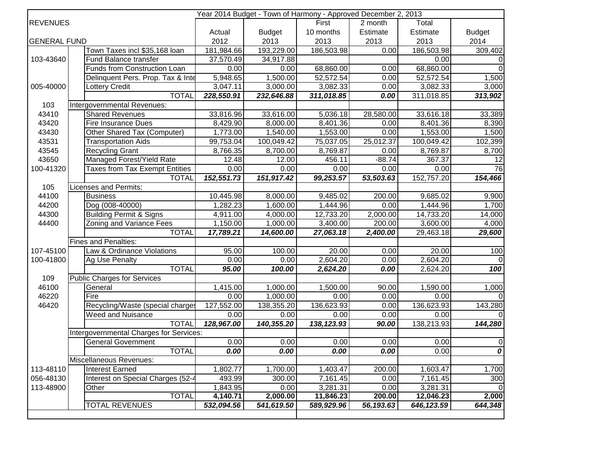| Year 2014 Budget - Town of Harmony - Approved December 2, 2013 |                                         |            |               |             |           |             |                  |  |
|----------------------------------------------------------------|-----------------------------------------|------------|---------------|-------------|-----------|-------------|------------------|--|
| <b>REVENUES</b>                                                |                                         |            |               | First       | 2 month   | Total       |                  |  |
|                                                                |                                         | Actual     | <b>Budget</b> | 10 months   | Estimate  | Estimate    | <b>Budget</b>    |  |
| <b>GENERAL FUND</b>                                            |                                         | 2012       | 2013          | 2013        | 2013      | 2013        | 2014             |  |
|                                                                | Town Taxes incl \$35,168 loan           | 181,984.66 | 193,229.00    | 186,503.98  | 0.00      | 186,503.98  | 309,402          |  |
| 103-43640                                                      | Fund Balance transfer                   | 37,570.49  | 34,917.88     |             |           | 0.00        | $\Omega$         |  |
|                                                                | Funds from Construction Loan            | 0.00       | 0.00          | 68,860.00   | 0.00      | 68,860.00   | $\Omega$         |  |
|                                                                | Delinquent Pers. Prop. Tax & Inte       | 5,948.65   | 1,500.00      | 52,572.54   | 0.00      | 52,572.54   | 1,500            |  |
| 005-40000                                                      | <b>Lottery Credit</b>                   | 3,047.11   | 3,000.00      | 3,082.33    | 0.00      | 3,082.33    | 3,000            |  |
|                                                                | <b>TOTAL</b>                            | 228,550.91 | 232,646.88    | 311,018.85  | 0.00      | 311,018.85  | 313,902          |  |
| 103                                                            | Intergovernmental Revenues:             |            |               |             |           |             |                  |  |
| 43410                                                          | <b>Shared Revenues</b>                  | 33,816.96  | 33,616.00     | 5,036.18    | 28,580.00 | 33,616.18   | 33,389           |  |
| 43420                                                          | <b>Fire Insurance Dues</b>              | 8,429.90   | 8,000.00      | 8,401.36    | 0.00      | 8,401.36    | 8,390            |  |
| 43430                                                          | Other Shared Tax (Computer)             | 1,773.00   | 1,540.00      | 1,553.00    | 0.00      | 1,553.00    | 1,500            |  |
| 43531                                                          | <b>Transportation Aids</b>              | 99,753.04  | 100,049.42    | 75,037.05   | 25,012.37 | 100,049.42  | 102,399          |  |
| 43545                                                          | <b>Recycling Grant</b>                  | 8,766.35   | 8,700.00      | 8,769.87    | 0.00      | 8,769.87    | 8,700            |  |
| 43650                                                          | Managed Forest/Yield Rate               | 12.48      | 12.00         | 456.11      | $-88.74$  | 367.37      | 12               |  |
| 100-41320                                                      | <b>Taxes from Tax Exempt Entities</b>   | 0.00       | 0.00          | 0.00        | 0.00      | 0.00        | $\overline{76}$  |  |
|                                                                | <b>TOTAL</b>                            | 152,551.73 | 151,917.42    | 99,253.57   | 53,503.63 | 152,757.20  | 154,466          |  |
| 105                                                            | Licenses and Permits:                   |            |               |             |           |             |                  |  |
| 44100                                                          | <b>Business</b>                         | 10,445.98  | 8,000.00      | 9,485.02    | 200.00    | 9,685.02    | 9,900            |  |
| 44200                                                          | Dog (008-40000)                         | 1,282.23   | 1,600.00      | 1,444.96    | 0.00      | 1,444.96    | 1,700            |  |
| 44300                                                          | <b>Building Permit &amp; Signs</b>      | 4,911.00   | 4,000.00      | 12,733.20   | 2,000.00  | 14,733.20   | 14,000           |  |
| 44400                                                          | <b>Zoning and Variance Fees</b>         | 1,150.00   | 1,000.00      | 3,400.00    | 200.00    | 3,600.00    | 4,000            |  |
|                                                                | <b>TOTAL</b>                            | 17,789.21  | 14,600.00     | 27,063.18   | 2,400.00  | 29,463.18   | 29,600           |  |
|                                                                | <b>Fines and Penalties:</b>             |            |               |             |           |             |                  |  |
| 107-45100                                                      | Law & Ordinance Violations              | 95.00      | 100.00        | 20.00       | 0.00      | 20.00       | 100              |  |
| 100-41800                                                      | Ag Use Penalty                          | 0.00       | 0.00          | 2,604.20    | 0.00      | 2,604.20    | $\Omega$         |  |
|                                                                | <b>TOTAL</b>                            | 95.00      | 100.00        | 2,624.20    | 0.00      | 2,624.20    | $\overline{100}$ |  |
| 109                                                            | <b>Public Charges for Services</b>      |            |               |             |           |             |                  |  |
| 46100                                                          | General                                 | 1,415.00   | 1,000.00      | 1,500.00    | 90.00     | 1,590.00    | 1,000            |  |
| 46220                                                          | Fire                                    | 0.00       | 1,000.00      | 0.00        | 0.00      | 0.00        | $\Omega$         |  |
| 46420                                                          | Recycling/Waste (special charges        | 127,552.00 | 138,355.20    | 136,623.93  | 0.00      | 136,623.93  | 143,280          |  |
|                                                                | Weed and Nuisance                       | 0.00       | 0.00          | 0.00        | 0.00      | 0.00        | <sup>n</sup>     |  |
|                                                                | <b>TOTAL</b>                            | 128,967.00 | 140,355.20    | 138, 123.93 | 90.00     | 138,213.93  | 144,280          |  |
|                                                                | Intergovernmental Charges for Services: |            |               |             |           |             |                  |  |
|                                                                | <b>General Government</b>               | 0.00       | 0.00          | 0.00        | 0.00      | 0.00        | $\pmb{0}$        |  |
|                                                                | <b>TOTAL</b>                            | 0.00       | 0.00          | 0.00        | 0.00      | 0.00        | $\overline{o}$   |  |
|                                                                | Miscellaneous Revenues:                 |            |               |             |           |             |                  |  |
| 113-48110                                                      | Interest Earned                         | 1,802.77   | 1,700.00      | 1,403.47    | 200.00    | 1,603.47    | 1,700            |  |
| 056-48130                                                      | Interest on Special Charges (52-4       | 493.99     | 300.00        | 7,161.45    | 0.00      | 7,161.45    | 300              |  |
| 113-48900                                                      | Other                                   | 1,843.95   | 0.00          | 3,281.31    | 0.00      | 3,281.31    |                  |  |
|                                                                | TOTAL                                   | 4,140.71   | 2,000.00      | 11,846.23   | 200.00    | 12,046.23   | 2,000            |  |
|                                                                | <b>TOTAL REVENUES</b>                   | 532,094.56 | 541,619.50    | 589,929.96  | 56,193.63 | 646, 123.59 | 644,348          |  |
|                                                                |                                         |            |               |             |           |             |                  |  |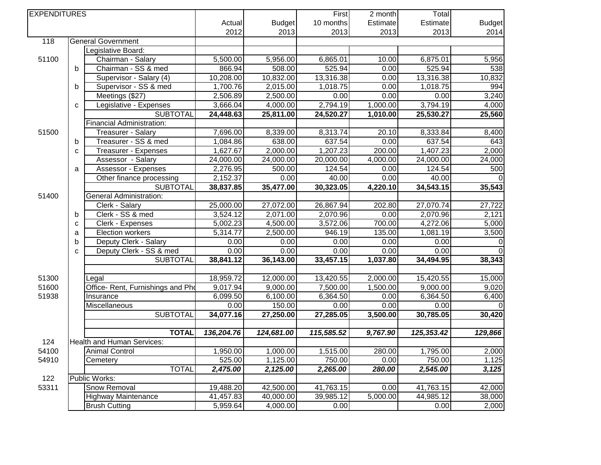| Actual<br><b>Budget</b><br>10 months<br>Estimate<br>Estimate<br>2012<br>2013<br>2013<br>2013<br>2013<br>118<br><b>General Government</b><br>Legislative Board:<br>51100<br>6,865.01<br>6,875.01<br>Chairman - Salary<br>5,500.00<br>5,956.00<br>10.00<br>525.94<br>Chairman - SS & med<br>866.94<br>508.00<br>0.00<br>525.94<br>b<br>13,316.38<br>10,208.00<br>10,832.00<br>13,316.38<br>Supervisor - Salary (4)<br>0.00<br>2,015.00<br>1,018.75<br>1,018.75<br>Supervisor - SS & med<br>1,700.76<br>0.00<br>b<br>994<br>Meetings (\$27)<br>2,500.00<br>2,506.89<br>0.00<br>0.00<br>0.00<br>1,000.00<br>3,794.19<br>4,000.00<br>2,794.19<br>Legislative - Expenses<br>3,666.04<br>C<br>1,010.00<br><b>SUBTOTAL</b><br>24,448.63<br>25,811.00<br>24,520.27<br>25,530.27<br><b>Financial Administration:</b><br>7,696.00<br>8,339.00<br>8,313.74<br>8,333.84<br>51500<br>Treasurer - Salary<br>20.10<br>638.00<br>637.54<br>637.54<br>Treasurer - SS & med<br>1,084.86<br>0.00<br>b<br>643<br>2,000.00<br>200.00<br>1,407.23<br>1,627.67<br>1,207.23<br>Treasurer - Expenses<br>C<br>24,000.00<br>24,000.00<br>20,000.00<br>4,000.00<br>24,000.00<br>Assessor - Salary<br>2,276.95<br>Assessor - Expenses<br>500.00<br>124.54<br>124.54<br>0.00<br>500<br>a<br>Other finance processing<br>2,152.37<br>40.00<br>0.00<br>40.00<br>0.00<br>35,477.00<br>30,323.05<br>4,220.10<br>34,543.15<br>38,837.85<br><b>SUBTOTAL</b><br><b>General Administration:</b><br>51400<br>27,072.00<br>26,867.94<br>Clerk - Salary<br>25,000.00<br>202.80<br>27,070.74<br>3,524.12<br>2,071.00<br>2,070.96<br>2,070.96<br>Clerk - SS & med<br>0.00<br>2,121<br>b<br>3,572.06<br>700.00<br>4,272.06<br>5,002.23<br>4,500.00<br>Clerk - Expenses<br>C<br>2,500.00<br>946.19<br>135.00<br>1,081.19<br>Election workers<br>5,314.77<br>a<br>Deputy Clerk - Salary<br>0.00<br>0.00<br>0.00<br>0.00<br>0.00<br>b<br>$\Omega$<br>Deputy Clerk - SS & med<br>0.00<br>0.00<br>0.00<br>0.00<br>0.00<br>C<br>38,841.12<br>36,143.00<br>33,457.15<br>1,037.80<br>34,494.95<br>38,343<br><b>SUBTOTAL</b><br>18,959.72<br>12,000.00<br>13,420.55<br>2,000.00<br>15,420.55<br>51300<br>Legal<br>9,000.00<br>9,000.00<br>51600<br>Office- Rent, Furnishings and Pho<br>9,017.94<br>7,500.00<br>1,500.00<br>6,364.50<br>6,099.50<br>6,100.00<br>6,364.50<br>51938<br>0.00<br>Insurance<br>150.00<br>0.00<br>Miscellaneous<br>0.00<br>0.00<br>0.00<br>30,785.05<br>34,077.16<br>27,250.00<br>27,285.05<br>3,500.00<br><b>SUBTOTAL</b><br><b>TOTAL</b><br>136,204.76<br>124,681.00<br>115,585.52<br>9,767.90<br>125,353.42<br>129,866<br>Health and Human Services:<br>124<br><b>Animal Control</b><br>1,515.00<br>1,950.00<br>1,000.00<br>280.00<br>1,795.00<br>54100<br>525.00<br>1,125.00<br>750.00<br>750.00<br>54910<br>0.00<br>Cemetery<br><b>TOTAL</b><br>2,125.00<br>2,265.00<br>280.00<br>2,545.00<br>2,475.00<br>122<br>Public Works:<br><b>Snow Removal</b><br>53311<br>19,488.20<br>42,500.00<br>41,763.15<br>0.00<br>41,763.15<br>5,000.00<br>44,985.12<br><b>Highway Maintenance</b><br>41,457.83<br>40,000.00<br>39,985.12<br>5,959.64<br>4,000.00<br>0.00<br><b>Brush Cutting</b><br>0.00 | <b>EXPENDITURES</b> |  |  | First | 2 month | Total |  |               |
|-------------------------------------------------------------------------------------------------------------------------------------------------------------------------------------------------------------------------------------------------------------------------------------------------------------------------------------------------------------------------------------------------------------------------------------------------------------------------------------------------------------------------------------------------------------------------------------------------------------------------------------------------------------------------------------------------------------------------------------------------------------------------------------------------------------------------------------------------------------------------------------------------------------------------------------------------------------------------------------------------------------------------------------------------------------------------------------------------------------------------------------------------------------------------------------------------------------------------------------------------------------------------------------------------------------------------------------------------------------------------------------------------------------------------------------------------------------------------------------------------------------------------------------------------------------------------------------------------------------------------------------------------------------------------------------------------------------------------------------------------------------------------------------------------------------------------------------------------------------------------------------------------------------------------------------------------------------------------------------------------------------------------------------------------------------------------------------------------------------------------------------------------------------------------------------------------------------------------------------------------------------------------------------------------------------------------------------------------------------------------------------------------------------------------------------------------------------------------------------------------------------------------------------------------------------------------------------------------------------------------------------------------------------------------------------------------------------------------------------------------------------------------------------------------------------------------------------------------------------------------------------------------------------------------------------------------------------------------------------------------------------------------------------------------------------------------------------------------------------------------------------------------------------------|---------------------|--|--|-------|---------|-------|--|---------------|
|                                                                                                                                                                                                                                                                                                                                                                                                                                                                                                                                                                                                                                                                                                                                                                                                                                                                                                                                                                                                                                                                                                                                                                                                                                                                                                                                                                                                                                                                                                                                                                                                                                                                                                                                                                                                                                                                                                                                                                                                                                                                                                                                                                                                                                                                                                                                                                                                                                                                                                                                                                                                                                                                                                                                                                                                                                                                                                                                                                                                                                                                                                                                                                   |                     |  |  |       |         |       |  | <b>Budget</b> |
|                                                                                                                                                                                                                                                                                                                                                                                                                                                                                                                                                                                                                                                                                                                                                                                                                                                                                                                                                                                                                                                                                                                                                                                                                                                                                                                                                                                                                                                                                                                                                                                                                                                                                                                                                                                                                                                                                                                                                                                                                                                                                                                                                                                                                                                                                                                                                                                                                                                                                                                                                                                                                                                                                                                                                                                                                                                                                                                                                                                                                                                                                                                                                                   |                     |  |  |       |         |       |  | 2014          |
|                                                                                                                                                                                                                                                                                                                                                                                                                                                                                                                                                                                                                                                                                                                                                                                                                                                                                                                                                                                                                                                                                                                                                                                                                                                                                                                                                                                                                                                                                                                                                                                                                                                                                                                                                                                                                                                                                                                                                                                                                                                                                                                                                                                                                                                                                                                                                                                                                                                                                                                                                                                                                                                                                                                                                                                                                                                                                                                                                                                                                                                                                                                                                                   |                     |  |  |       |         |       |  |               |
|                                                                                                                                                                                                                                                                                                                                                                                                                                                                                                                                                                                                                                                                                                                                                                                                                                                                                                                                                                                                                                                                                                                                                                                                                                                                                                                                                                                                                                                                                                                                                                                                                                                                                                                                                                                                                                                                                                                                                                                                                                                                                                                                                                                                                                                                                                                                                                                                                                                                                                                                                                                                                                                                                                                                                                                                                                                                                                                                                                                                                                                                                                                                                                   |                     |  |  |       |         |       |  |               |
|                                                                                                                                                                                                                                                                                                                                                                                                                                                                                                                                                                                                                                                                                                                                                                                                                                                                                                                                                                                                                                                                                                                                                                                                                                                                                                                                                                                                                                                                                                                                                                                                                                                                                                                                                                                                                                                                                                                                                                                                                                                                                                                                                                                                                                                                                                                                                                                                                                                                                                                                                                                                                                                                                                                                                                                                                                                                                                                                                                                                                                                                                                                                                                   |                     |  |  |       |         |       |  | 5,956         |
|                                                                                                                                                                                                                                                                                                                                                                                                                                                                                                                                                                                                                                                                                                                                                                                                                                                                                                                                                                                                                                                                                                                                                                                                                                                                                                                                                                                                                                                                                                                                                                                                                                                                                                                                                                                                                                                                                                                                                                                                                                                                                                                                                                                                                                                                                                                                                                                                                                                                                                                                                                                                                                                                                                                                                                                                                                                                                                                                                                                                                                                                                                                                                                   |                     |  |  |       |         |       |  | 538           |
|                                                                                                                                                                                                                                                                                                                                                                                                                                                                                                                                                                                                                                                                                                                                                                                                                                                                                                                                                                                                                                                                                                                                                                                                                                                                                                                                                                                                                                                                                                                                                                                                                                                                                                                                                                                                                                                                                                                                                                                                                                                                                                                                                                                                                                                                                                                                                                                                                                                                                                                                                                                                                                                                                                                                                                                                                                                                                                                                                                                                                                                                                                                                                                   |                     |  |  |       |         |       |  | 10,832        |
|                                                                                                                                                                                                                                                                                                                                                                                                                                                                                                                                                                                                                                                                                                                                                                                                                                                                                                                                                                                                                                                                                                                                                                                                                                                                                                                                                                                                                                                                                                                                                                                                                                                                                                                                                                                                                                                                                                                                                                                                                                                                                                                                                                                                                                                                                                                                                                                                                                                                                                                                                                                                                                                                                                                                                                                                                                                                                                                                                                                                                                                                                                                                                                   |                     |  |  |       |         |       |  |               |
|                                                                                                                                                                                                                                                                                                                                                                                                                                                                                                                                                                                                                                                                                                                                                                                                                                                                                                                                                                                                                                                                                                                                                                                                                                                                                                                                                                                                                                                                                                                                                                                                                                                                                                                                                                                                                                                                                                                                                                                                                                                                                                                                                                                                                                                                                                                                                                                                                                                                                                                                                                                                                                                                                                                                                                                                                                                                                                                                                                                                                                                                                                                                                                   |                     |  |  |       |         |       |  | 3,240         |
|                                                                                                                                                                                                                                                                                                                                                                                                                                                                                                                                                                                                                                                                                                                                                                                                                                                                                                                                                                                                                                                                                                                                                                                                                                                                                                                                                                                                                                                                                                                                                                                                                                                                                                                                                                                                                                                                                                                                                                                                                                                                                                                                                                                                                                                                                                                                                                                                                                                                                                                                                                                                                                                                                                                                                                                                                                                                                                                                                                                                                                                                                                                                                                   |                     |  |  |       |         |       |  | 4,000         |
|                                                                                                                                                                                                                                                                                                                                                                                                                                                                                                                                                                                                                                                                                                                                                                                                                                                                                                                                                                                                                                                                                                                                                                                                                                                                                                                                                                                                                                                                                                                                                                                                                                                                                                                                                                                                                                                                                                                                                                                                                                                                                                                                                                                                                                                                                                                                                                                                                                                                                                                                                                                                                                                                                                                                                                                                                                                                                                                                                                                                                                                                                                                                                                   |                     |  |  |       |         |       |  | 25,560        |
|                                                                                                                                                                                                                                                                                                                                                                                                                                                                                                                                                                                                                                                                                                                                                                                                                                                                                                                                                                                                                                                                                                                                                                                                                                                                                                                                                                                                                                                                                                                                                                                                                                                                                                                                                                                                                                                                                                                                                                                                                                                                                                                                                                                                                                                                                                                                                                                                                                                                                                                                                                                                                                                                                                                                                                                                                                                                                                                                                                                                                                                                                                                                                                   |                     |  |  |       |         |       |  |               |
|                                                                                                                                                                                                                                                                                                                                                                                                                                                                                                                                                                                                                                                                                                                                                                                                                                                                                                                                                                                                                                                                                                                                                                                                                                                                                                                                                                                                                                                                                                                                                                                                                                                                                                                                                                                                                                                                                                                                                                                                                                                                                                                                                                                                                                                                                                                                                                                                                                                                                                                                                                                                                                                                                                                                                                                                                                                                                                                                                                                                                                                                                                                                                                   |                     |  |  |       |         |       |  | 8,400         |
|                                                                                                                                                                                                                                                                                                                                                                                                                                                                                                                                                                                                                                                                                                                                                                                                                                                                                                                                                                                                                                                                                                                                                                                                                                                                                                                                                                                                                                                                                                                                                                                                                                                                                                                                                                                                                                                                                                                                                                                                                                                                                                                                                                                                                                                                                                                                                                                                                                                                                                                                                                                                                                                                                                                                                                                                                                                                                                                                                                                                                                                                                                                                                                   |                     |  |  |       |         |       |  |               |
|                                                                                                                                                                                                                                                                                                                                                                                                                                                                                                                                                                                                                                                                                                                                                                                                                                                                                                                                                                                                                                                                                                                                                                                                                                                                                                                                                                                                                                                                                                                                                                                                                                                                                                                                                                                                                                                                                                                                                                                                                                                                                                                                                                                                                                                                                                                                                                                                                                                                                                                                                                                                                                                                                                                                                                                                                                                                                                                                                                                                                                                                                                                                                                   |                     |  |  |       |         |       |  | 2,000         |
|                                                                                                                                                                                                                                                                                                                                                                                                                                                                                                                                                                                                                                                                                                                                                                                                                                                                                                                                                                                                                                                                                                                                                                                                                                                                                                                                                                                                                                                                                                                                                                                                                                                                                                                                                                                                                                                                                                                                                                                                                                                                                                                                                                                                                                                                                                                                                                                                                                                                                                                                                                                                                                                                                                                                                                                                                                                                                                                                                                                                                                                                                                                                                                   |                     |  |  |       |         |       |  | 24,000        |
|                                                                                                                                                                                                                                                                                                                                                                                                                                                                                                                                                                                                                                                                                                                                                                                                                                                                                                                                                                                                                                                                                                                                                                                                                                                                                                                                                                                                                                                                                                                                                                                                                                                                                                                                                                                                                                                                                                                                                                                                                                                                                                                                                                                                                                                                                                                                                                                                                                                                                                                                                                                                                                                                                                                                                                                                                                                                                                                                                                                                                                                                                                                                                                   |                     |  |  |       |         |       |  |               |
|                                                                                                                                                                                                                                                                                                                                                                                                                                                                                                                                                                                                                                                                                                                                                                                                                                                                                                                                                                                                                                                                                                                                                                                                                                                                                                                                                                                                                                                                                                                                                                                                                                                                                                                                                                                                                                                                                                                                                                                                                                                                                                                                                                                                                                                                                                                                                                                                                                                                                                                                                                                                                                                                                                                                                                                                                                                                                                                                                                                                                                                                                                                                                                   |                     |  |  |       |         |       |  |               |
|                                                                                                                                                                                                                                                                                                                                                                                                                                                                                                                                                                                                                                                                                                                                                                                                                                                                                                                                                                                                                                                                                                                                                                                                                                                                                                                                                                                                                                                                                                                                                                                                                                                                                                                                                                                                                                                                                                                                                                                                                                                                                                                                                                                                                                                                                                                                                                                                                                                                                                                                                                                                                                                                                                                                                                                                                                                                                                                                                                                                                                                                                                                                                                   |                     |  |  |       |         |       |  | 35,543        |
|                                                                                                                                                                                                                                                                                                                                                                                                                                                                                                                                                                                                                                                                                                                                                                                                                                                                                                                                                                                                                                                                                                                                                                                                                                                                                                                                                                                                                                                                                                                                                                                                                                                                                                                                                                                                                                                                                                                                                                                                                                                                                                                                                                                                                                                                                                                                                                                                                                                                                                                                                                                                                                                                                                                                                                                                                                                                                                                                                                                                                                                                                                                                                                   |                     |  |  |       |         |       |  |               |
|                                                                                                                                                                                                                                                                                                                                                                                                                                                                                                                                                                                                                                                                                                                                                                                                                                                                                                                                                                                                                                                                                                                                                                                                                                                                                                                                                                                                                                                                                                                                                                                                                                                                                                                                                                                                                                                                                                                                                                                                                                                                                                                                                                                                                                                                                                                                                                                                                                                                                                                                                                                                                                                                                                                                                                                                                                                                                                                                                                                                                                                                                                                                                                   |                     |  |  |       |         |       |  | 27,722        |
|                                                                                                                                                                                                                                                                                                                                                                                                                                                                                                                                                                                                                                                                                                                                                                                                                                                                                                                                                                                                                                                                                                                                                                                                                                                                                                                                                                                                                                                                                                                                                                                                                                                                                                                                                                                                                                                                                                                                                                                                                                                                                                                                                                                                                                                                                                                                                                                                                                                                                                                                                                                                                                                                                                                                                                                                                                                                                                                                                                                                                                                                                                                                                                   |                     |  |  |       |         |       |  |               |
|                                                                                                                                                                                                                                                                                                                                                                                                                                                                                                                                                                                                                                                                                                                                                                                                                                                                                                                                                                                                                                                                                                                                                                                                                                                                                                                                                                                                                                                                                                                                                                                                                                                                                                                                                                                                                                                                                                                                                                                                                                                                                                                                                                                                                                                                                                                                                                                                                                                                                                                                                                                                                                                                                                                                                                                                                                                                                                                                                                                                                                                                                                                                                                   |                     |  |  |       |         |       |  | 5,000         |
|                                                                                                                                                                                                                                                                                                                                                                                                                                                                                                                                                                                                                                                                                                                                                                                                                                                                                                                                                                                                                                                                                                                                                                                                                                                                                                                                                                                                                                                                                                                                                                                                                                                                                                                                                                                                                                                                                                                                                                                                                                                                                                                                                                                                                                                                                                                                                                                                                                                                                                                                                                                                                                                                                                                                                                                                                                                                                                                                                                                                                                                                                                                                                                   |                     |  |  |       |         |       |  | 3,500         |
|                                                                                                                                                                                                                                                                                                                                                                                                                                                                                                                                                                                                                                                                                                                                                                                                                                                                                                                                                                                                                                                                                                                                                                                                                                                                                                                                                                                                                                                                                                                                                                                                                                                                                                                                                                                                                                                                                                                                                                                                                                                                                                                                                                                                                                                                                                                                                                                                                                                                                                                                                                                                                                                                                                                                                                                                                                                                                                                                                                                                                                                                                                                                                                   |                     |  |  |       |         |       |  |               |
|                                                                                                                                                                                                                                                                                                                                                                                                                                                                                                                                                                                                                                                                                                                                                                                                                                                                                                                                                                                                                                                                                                                                                                                                                                                                                                                                                                                                                                                                                                                                                                                                                                                                                                                                                                                                                                                                                                                                                                                                                                                                                                                                                                                                                                                                                                                                                                                                                                                                                                                                                                                                                                                                                                                                                                                                                                                                                                                                                                                                                                                                                                                                                                   |                     |  |  |       |         |       |  | $\Omega$      |
|                                                                                                                                                                                                                                                                                                                                                                                                                                                                                                                                                                                                                                                                                                                                                                                                                                                                                                                                                                                                                                                                                                                                                                                                                                                                                                                                                                                                                                                                                                                                                                                                                                                                                                                                                                                                                                                                                                                                                                                                                                                                                                                                                                                                                                                                                                                                                                                                                                                                                                                                                                                                                                                                                                                                                                                                                                                                                                                                                                                                                                                                                                                                                                   |                     |  |  |       |         |       |  |               |
|                                                                                                                                                                                                                                                                                                                                                                                                                                                                                                                                                                                                                                                                                                                                                                                                                                                                                                                                                                                                                                                                                                                                                                                                                                                                                                                                                                                                                                                                                                                                                                                                                                                                                                                                                                                                                                                                                                                                                                                                                                                                                                                                                                                                                                                                                                                                                                                                                                                                                                                                                                                                                                                                                                                                                                                                                                                                                                                                                                                                                                                                                                                                                                   |                     |  |  |       |         |       |  |               |
|                                                                                                                                                                                                                                                                                                                                                                                                                                                                                                                                                                                                                                                                                                                                                                                                                                                                                                                                                                                                                                                                                                                                                                                                                                                                                                                                                                                                                                                                                                                                                                                                                                                                                                                                                                                                                                                                                                                                                                                                                                                                                                                                                                                                                                                                                                                                                                                                                                                                                                                                                                                                                                                                                                                                                                                                                                                                                                                                                                                                                                                                                                                                                                   |                     |  |  |       |         |       |  | 15,000        |
|                                                                                                                                                                                                                                                                                                                                                                                                                                                                                                                                                                                                                                                                                                                                                                                                                                                                                                                                                                                                                                                                                                                                                                                                                                                                                                                                                                                                                                                                                                                                                                                                                                                                                                                                                                                                                                                                                                                                                                                                                                                                                                                                                                                                                                                                                                                                                                                                                                                                                                                                                                                                                                                                                                                                                                                                                                                                                                                                                                                                                                                                                                                                                                   |                     |  |  |       |         |       |  | 9,020         |
|                                                                                                                                                                                                                                                                                                                                                                                                                                                                                                                                                                                                                                                                                                                                                                                                                                                                                                                                                                                                                                                                                                                                                                                                                                                                                                                                                                                                                                                                                                                                                                                                                                                                                                                                                                                                                                                                                                                                                                                                                                                                                                                                                                                                                                                                                                                                                                                                                                                                                                                                                                                                                                                                                                                                                                                                                                                                                                                                                                                                                                                                                                                                                                   |                     |  |  |       |         |       |  | 6,400         |
|                                                                                                                                                                                                                                                                                                                                                                                                                                                                                                                                                                                                                                                                                                                                                                                                                                                                                                                                                                                                                                                                                                                                                                                                                                                                                                                                                                                                                                                                                                                                                                                                                                                                                                                                                                                                                                                                                                                                                                                                                                                                                                                                                                                                                                                                                                                                                                                                                                                                                                                                                                                                                                                                                                                                                                                                                                                                                                                                                                                                                                                                                                                                                                   |                     |  |  |       |         |       |  |               |
|                                                                                                                                                                                                                                                                                                                                                                                                                                                                                                                                                                                                                                                                                                                                                                                                                                                                                                                                                                                                                                                                                                                                                                                                                                                                                                                                                                                                                                                                                                                                                                                                                                                                                                                                                                                                                                                                                                                                                                                                                                                                                                                                                                                                                                                                                                                                                                                                                                                                                                                                                                                                                                                                                                                                                                                                                                                                                                                                                                                                                                                                                                                                                                   |                     |  |  |       |         |       |  | 30,420        |
|                                                                                                                                                                                                                                                                                                                                                                                                                                                                                                                                                                                                                                                                                                                                                                                                                                                                                                                                                                                                                                                                                                                                                                                                                                                                                                                                                                                                                                                                                                                                                                                                                                                                                                                                                                                                                                                                                                                                                                                                                                                                                                                                                                                                                                                                                                                                                                                                                                                                                                                                                                                                                                                                                                                                                                                                                                                                                                                                                                                                                                                                                                                                                                   |                     |  |  |       |         |       |  |               |
|                                                                                                                                                                                                                                                                                                                                                                                                                                                                                                                                                                                                                                                                                                                                                                                                                                                                                                                                                                                                                                                                                                                                                                                                                                                                                                                                                                                                                                                                                                                                                                                                                                                                                                                                                                                                                                                                                                                                                                                                                                                                                                                                                                                                                                                                                                                                                                                                                                                                                                                                                                                                                                                                                                                                                                                                                                                                                                                                                                                                                                                                                                                                                                   |                     |  |  |       |         |       |  |               |
|                                                                                                                                                                                                                                                                                                                                                                                                                                                                                                                                                                                                                                                                                                                                                                                                                                                                                                                                                                                                                                                                                                                                                                                                                                                                                                                                                                                                                                                                                                                                                                                                                                                                                                                                                                                                                                                                                                                                                                                                                                                                                                                                                                                                                                                                                                                                                                                                                                                                                                                                                                                                                                                                                                                                                                                                                                                                                                                                                                                                                                                                                                                                                                   |                     |  |  |       |         |       |  |               |
|                                                                                                                                                                                                                                                                                                                                                                                                                                                                                                                                                                                                                                                                                                                                                                                                                                                                                                                                                                                                                                                                                                                                                                                                                                                                                                                                                                                                                                                                                                                                                                                                                                                                                                                                                                                                                                                                                                                                                                                                                                                                                                                                                                                                                                                                                                                                                                                                                                                                                                                                                                                                                                                                                                                                                                                                                                                                                                                                                                                                                                                                                                                                                                   |                     |  |  |       |         |       |  | 2,000         |
|                                                                                                                                                                                                                                                                                                                                                                                                                                                                                                                                                                                                                                                                                                                                                                                                                                                                                                                                                                                                                                                                                                                                                                                                                                                                                                                                                                                                                                                                                                                                                                                                                                                                                                                                                                                                                                                                                                                                                                                                                                                                                                                                                                                                                                                                                                                                                                                                                                                                                                                                                                                                                                                                                                                                                                                                                                                                                                                                                                                                                                                                                                                                                                   |                     |  |  |       |         |       |  | 1,125         |
|                                                                                                                                                                                                                                                                                                                                                                                                                                                                                                                                                                                                                                                                                                                                                                                                                                                                                                                                                                                                                                                                                                                                                                                                                                                                                                                                                                                                                                                                                                                                                                                                                                                                                                                                                                                                                                                                                                                                                                                                                                                                                                                                                                                                                                                                                                                                                                                                                                                                                                                                                                                                                                                                                                                                                                                                                                                                                                                                                                                                                                                                                                                                                                   |                     |  |  |       |         |       |  | 3,125         |
|                                                                                                                                                                                                                                                                                                                                                                                                                                                                                                                                                                                                                                                                                                                                                                                                                                                                                                                                                                                                                                                                                                                                                                                                                                                                                                                                                                                                                                                                                                                                                                                                                                                                                                                                                                                                                                                                                                                                                                                                                                                                                                                                                                                                                                                                                                                                                                                                                                                                                                                                                                                                                                                                                                                                                                                                                                                                                                                                                                                                                                                                                                                                                                   |                     |  |  |       |         |       |  |               |
|                                                                                                                                                                                                                                                                                                                                                                                                                                                                                                                                                                                                                                                                                                                                                                                                                                                                                                                                                                                                                                                                                                                                                                                                                                                                                                                                                                                                                                                                                                                                                                                                                                                                                                                                                                                                                                                                                                                                                                                                                                                                                                                                                                                                                                                                                                                                                                                                                                                                                                                                                                                                                                                                                                                                                                                                                                                                                                                                                                                                                                                                                                                                                                   |                     |  |  |       |         |       |  | 42,000        |
|                                                                                                                                                                                                                                                                                                                                                                                                                                                                                                                                                                                                                                                                                                                                                                                                                                                                                                                                                                                                                                                                                                                                                                                                                                                                                                                                                                                                                                                                                                                                                                                                                                                                                                                                                                                                                                                                                                                                                                                                                                                                                                                                                                                                                                                                                                                                                                                                                                                                                                                                                                                                                                                                                                                                                                                                                                                                                                                                                                                                                                                                                                                                                                   |                     |  |  |       |         |       |  | 38,000        |
|                                                                                                                                                                                                                                                                                                                                                                                                                                                                                                                                                                                                                                                                                                                                                                                                                                                                                                                                                                                                                                                                                                                                                                                                                                                                                                                                                                                                                                                                                                                                                                                                                                                                                                                                                                                                                                                                                                                                                                                                                                                                                                                                                                                                                                                                                                                                                                                                                                                                                                                                                                                                                                                                                                                                                                                                                                                                                                                                                                                                                                                                                                                                                                   |                     |  |  |       |         |       |  | 2,000         |